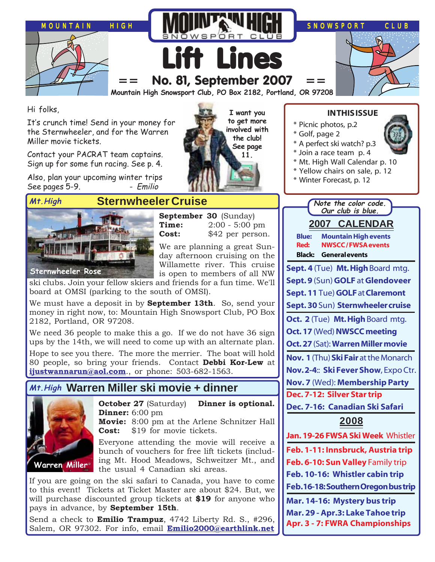

**I want you to get more involved with the club! See page 11.**

Hi folks,

It's crunch time! Send in your money for the Sternwheeler, and for the Warren Miller movie tickets.

Contact your PACRAT team captains. Sign up for some fun racing. See p. 4.

Also, plan your upcoming winter trips See pages 5-9. - - Emilio



### **Sternwheeler Cruise**

**September 30** (Sunday) **Time:** 2:00 - 5:00 pm **Cost:** \$42 per person.

We are planning a great Sunday afternoon cruising on the Willamette river. This cruise is open to members of all NW

ski clubs. Join your fellow skiers and friends for a fun time. We'll board at OMSI (parking to the south of OMSI).

We must have a deposit in by **September 13th**. So, send your money in right now, to: Mountain High Snowsport Club, PO Box 2182, Portland, OR 97208.

We need 36 people to make this a go. If we do not have 36 sign ups by the 14th, we will need to come up with an alternate plan. Hope to see you there. The more the merrier. The boat will hold 80 people, so bring your friends. Contact **Debbi Kor-Lew** at **[ijustwannarun@aol.com](mailto:Ijustwannarun@aol.com)**., or phone: 503-682-1563.

### **Warren Miller ski movie + dinner Mt.High**

**Dinner:** 6:00 pm



**Movie:** 8:00 pm at the Arlene Schnitzer Hall **Cost:** \$19 for movie tickets.

Everyone attending the movie will receive a bunch of vouchers for free lift tickets (including Mt. Hood Meadows, Schweitzer Mt., and the usual 4 Canadian ski areas.

**October 27** (Saturday) **Dinner is optional.**

If you are going on the ski safari to Canada, you have to come to this event! Tickets at Ticket Master are about \$24. But, we will purchase discounted group tickets at **\$19** for anyone who pays in advance, by **September 15th**.

Send a check to **Emilio Trampuz**, 4742 Liberty Rd. S., #296, Salem, OR 97302. For info, email **[Emilio2000@earthlink.net](mailto:Emilio2000@earthlink.net)**

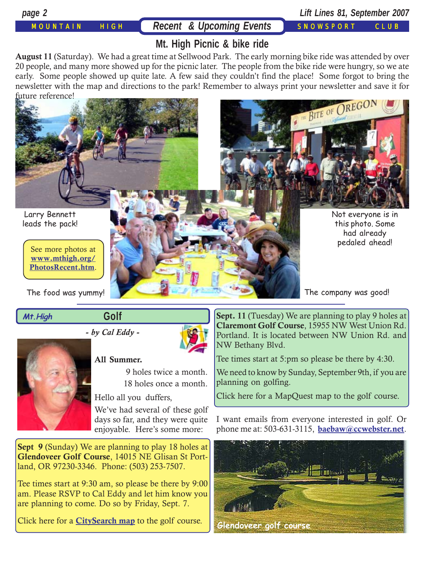MOUNTAIN HIGH **Recent & Upcoming Events** SNOWSPORT CLUB

*page 2 Lift Lines 81, September 2007*

## **Mt. High Picnic & bike ride**

**August 11** (Saturday). We had a great time at Sellwood Park. The early morning bike ride was attended by over 20 people, and many more showed up for the picnic later. The people from the bike ride were hungry, so we ate early. Some people showed up quite late. A few said they couldn't find the place! Some forgot to bring the newsletter with the map and directions to the park! Remember to always print your newsletter and save it for future reference!



#### **Mt.High**

**Golf**

**-** *by Cal Eddy* **-**



#### **All Summer.**

 9 holes twice a month. 18 holes once a month.

Hello all you duffers,

We've had several of these golf days so far, and they were quite enjoyable. Here's some more:

**Sept 9** (Sunday) We are planning to play 18 holes at **Glendoveer Golf Course**, 14015 NE Glisan St Portland, OR 97230-3346. Phone: (503) 253-7507.

Tee times start at 9:30 am, so please be there by 9:00 am. Please RSVP to Cal Eddy and let him know you are planning to come. Do so by Friday, Sept. 7.

Click here for a **[CitySearch map](http://maps.citysearch.com/map/view/8486812)** to the golf course.

**Sept. 11** (Tuesday) We are planning to play 9 holes at **Claremont Golf Course**, 15955 NW West Union Rd. Portland. It is located between NW Union Rd. and NW Bethany Blvd.

Tee times start at 5:pm so please be there by 4:30.

We need to know by Sunday, September 9th, if you are planning on golfing.

Click here for a MapQuest map to the golf course.

I want emails from everyone interested in golf. Or phone me at: 503-631-3115, **[baebaw@ccwebster.net](mailto:baebaw@ccwebster.net)**.

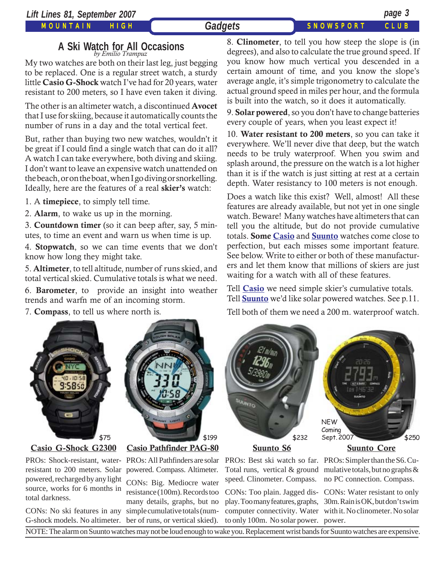#### MOUNTAIN HIGH

#### Gadgets SNOWSPORT CLUB

## **A Ski Watch for All Occasions** *by Emilio Trampuz*

My two watches are both on their last leg, just begging to be replaced. One is a regular street watch, a sturdy little **Casio G-Shock** watch I've had for 20 years, water resistant to 200 meters, so I have even taken it diving.

The other is an altimeter watch, a discontinued **Avocet** that I use for skiing, because it automatically counts the number of runs in a day and the total vertical feet.

But, rather than buying two new watches, wouldn't it be great if I could find a single watch that can do it all? A watch I can take everywhere, both diving and skiing. I don't want to leave an expensive watch unattended on the beach, or on the boat, when I go diving or snorkelling. Ideally, here are the features of a real **skier's** watch:

1. A **timepiece**, to simply tell time.

2. **Alarm**, to wake us up in the morning.

3. **Countdown timer** (so it can beep after, say, 5 minutes, to time an event and warn us when time is up.

4. **Stopwatch**, so we can time events that we don't know how long they might take.

5. **Altimeter**, to tell altitude, number of runs skied, and total vertical skied. Cumulative totals is what we need.

6. **Barometer**, to provide an insight into weather trends and warfn me of an incoming storm.

7. **Compass**, to tell us where north is.



#### **[Casio G-Shock G2300](http://www.gshock.com/products/g-shock_tough_solar/)**

PROs: Shock-resistant, water-PROs: All Pathfinders are solar resistant to 200 meters. Solar powered. Compass. Altimeter. powered, recharged by any light source, works for 6 months in total darkness.

CONs: No ski features in any simple cumulative totals (num-G-shock models. No altimeter. ber of runs, or vertical skied).



### **[Casio Pathfinder PAG-80](http://pathfinder.casio.com/watches/hiking_trekking/2)**

CONs: Big. Mediocre water resistance (100m). Records too many details, graphs, but no

8. **Clinometer**, to tell you how steep the slope is (in degrees), and also to calculate the true ground speed. If you know how much vertical you descended in a certain amount of time, and you know the slope's average angle, it's simple trigonometry to calculate the actual ground speed in miles per hour, and the formula is built into the watch, so it does it automatically.

9. **Solar powered**, so you don't have to change batteries every couple of years, when you least expect it!

10. **Water resistant to 200 meters**, so you can take it everywhere. We'll never dive that deep, but the watch needs to be truly waterproof. When you swim and splash around, the pressure on the watch is a lot higher than it is if the watch is just sitting at rest at a certain depth. Water resistancy to 100 meters is not enough.

Does a watch like this exist? Well, almost! All these features are already available, but not yet in one single watch. Beware! Many watches have altimeters that can tell you the altitude, but do not provide cumulative totals. **Some [Casio](http://www.casio.com/products/Timepiece)** and **[Suunto](http://www.suunto.com/suunto/Worlds/outdoor/main/Products_main.jsp?CONTENT%3C%3Ecnt_id=10134198673983999&FOLDER%3C%3Efolder_id=2534374302757026&bmUID=1187935432124)** watches come close to perfection, but each misses some important feature. See below. Write to either or both of these manufacturers and let them know that millions of skiers are just waiting for a watch with all of these features.

Tell **[Casio](mailto:watches_cms@casio.com)** we need simple skier's cumulative totals. Tell **[Suunto](mailto:helpdesk@suuntosports.com)** we'd like solar powered watches. See p.11.

Tell both of them we need a 200 m. waterproof watch.



**[Suunto S6](http://www.suunto.com/suunto/Worlds/outdoor/main/Product.jsp?CONTENT%3C%3Ecnt_id=10134198673986290&FOLDER%3C%3Efolder_id=2534374302757903&bmUID=1187935450623)**

Total runs, vertical & ground speed. Clinometer. Compass.

to only 100m. No solar power. power.

NEW Coming<br>Sept. 2007

**[Suunto Core](http://www.suunto.com/suunto/Worlds/outdoor/main/Product.jsp?CONTENT%3C%3Ecnt_id=10134198673986053&FOLDER%3C%3Efolder_id=2534374302757941&bmUID=1187935450623)**

PROs: Best ski watch so far. PROs: Simpler than the S6. Cumulative totals, but no graphs & no PC connection. Compass.

CONs: Too plain. Jagged dis-CONs: Water resistant to only play. Too many features, graphs, 30m. Rain is OK, but don't swim computer connectivity. Water with it. No clinometer. No solar

NOTE: The alarm on Suunto watches may not be loud enough to wake you. Replacement wrist bands for Suunto watches are expensive.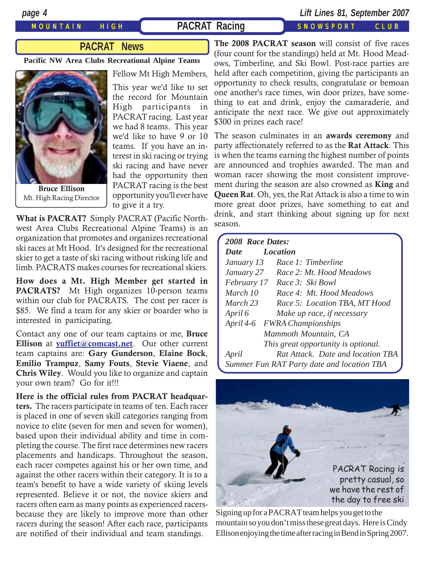#### MOUNTAIN HIGH **PACRAT Racing SNOWSPORT CLUB**

*page 4 Lift Lines 81, September 2007*

### **PACRAT News**

**Pacific NW Area Clubs Recreational Alpine Teams**



**Bruce Ellison** Mt. High Racing Director

Fellow Mt High Members,

This year we'd like to set the record for Mountain High participants in PACRAT racing. Last year we had 8 teams. This year we'd like to have 9 or 10 teams. If you have an interest in ski racing or trying ski racing and have never had the opportunity then PACRAT racing is the best opportunity you'll ever have to give it a try.

**What is PACRAT?** Simply PACRAT (Pacific Northwest Area Clubs Recreational Alpine Teams) is an organization that promotes and organizes recreational ski races at Mt Hood. It's designed for the recreational skier to get a taste of ski racing without risking life and limb. PACRATS makes courses for recreational skiers.

**How does a Mt. High Member get started in** PACRATS? Mt High organizes 10-person teams within our club for PACRATS. The cost per racer is \$85. We find a team for any skier or boarder who is interested in participating.

Contact any one of our team captains or me, **Bruce Ellison** at **[yuffiet@comcast.net](mailto:yuffiet@comcast.net)**. Our other current team captains are: **Gary Gunderson**, **Elaine Bock**, **Emilio Trampuz**, **Samy Fouts**, **Stevie Viaene**, and **Chris Wiley**. Would you like to organize and captain your own team? Go for it!!!

**Here is the official rules from PACRAT headquarters.** The racers participate in teams of ten. Each racer is placed in one of seven skill categories ranging from novice to elite (seven for men and seven for women), based upon their individual ability and time in completing the course. The first race determines new racers placements and handicaps. Throughout the season, each racer competes against his or her own time, and against the other racers within their category. It is to a team's benefit to have a wide variety of skiing levels represented. Believe it or not, the novice skiers and racers often earn as many points as experienced racersbecause they are likely to improve more than other racers during the season! After each race, participants are notified of their individual and team standings.

**The 2008 PACRAT season** will consist of five races (four count for the standings) held at Mt. Hood Meadows, Timberline, and Ski Bowl. Post-race parties are held after each competition, giving the participants an opportunity to check results, congratulate or bemoan one another's race times, win door prizes, have something to eat and drink, enjoy the camaraderie, and anticipate the next race. We give out approximately \$300 in prizes each race!

The season culminates in an **awards ceremony** and party affectionately referred to as the **Rat Attack**. This is when the teams earning the highest number of points are announced and trophies awarded. The man and woman racer showing the most consistent improvement during the season are also crowned as **King** and **Queen Rat**. Oh, yes, the Rat Attack is also a time to win more great door prizes, have something to eat and drink, and start thinking about signing up for next season.

| 2008 Race Dates:        |                                            |
|-------------------------|--------------------------------------------|
| <b>Location</b><br>Date |                                            |
| January 13              | Race 1: Timberline                         |
| January 27              | Race 2: Mt. Hood Meadows                   |
|                         | February 17 Race 3: Ski Bowl               |
| March 10                | Race 4: Mt. Hood Meadows                   |
| March 23                | Race 5: Location TBA, MT Hood              |
| April 6                 | Make up race, if necessary                 |
|                         | April 4-6 FWRA Championships               |
|                         | Mammoth Mountain, CA                       |
|                         | This great opportunity is optional.        |
| April                   | Rat Attack. Date and location TBA          |
|                         | Summer Fun RAT Party date and location TBA |



Signing up for a PACRAT team helps you get to the mountain so you don't miss these great days. Here is Cindy Ellison enjoying the time after racing in Bend in Spring 2007.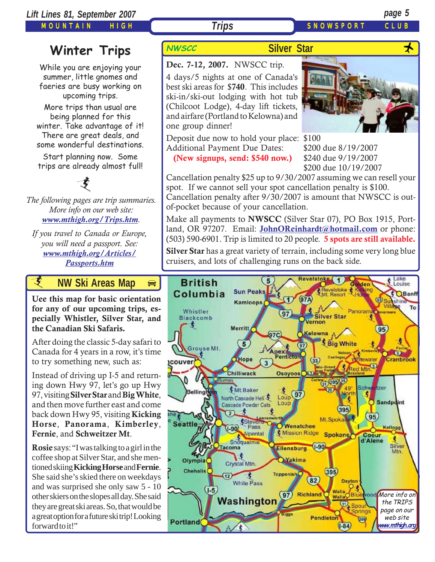MOUNTAIN HIGH

## **Trips** SNOWSPORT CLUE

## **Winter Trips** NWSCC

While you are enjoying your summer, little gnomes and faeries are busy working on upcoming trips.

More trips than usual are being planned for this winter. Take advantage of it! There are great deals, and some wonderful destinations.

Start planning now. Some trips are already almost full!

*The following pages are trip summaries. More info on our web site: [www.mthigh.org/Trips.htm](http://www.mthigh.org/Trips.htm).* 支

*If you travel to Canada or Europe, you will need a passport. See: [www.mthigh.org/Articles/](http://www.mthigh.org/Articles/Passports.htm) [Passports.htm](http://www.mthigh.org/Articles/Passports.htm)*

*i* **AW Ski Areas Ma[p](http://beavercreek.snow.com/winterhome.asp)** 

**Uee this map for basic orientation [for any of our upcoming trips, es](http://beavercreek.snow.com/winterhome.asp)pecially Whistler, Silver Star, and [the Canadian Ski Safaris.](http://beavercreek.snow.com/winterhome.asp)** 

After doing the classic 5-day safari to Canada for 4 years in a row, it's time to try something new, such as:

Instead of driving up I-5 and returning down Hwy 97, let's go up Hwy 97, visiting **Silver Star** and **Big White**, and then move further east and come back down Hwy 95, visiting **Kicking Horse**, **Panorama**, **Kimberley**, **Fernie**, and **Schweitzer Mt**.

**Rosie** says: "I was talking to a girl in the coffee shop at Silver Star, and she mentioned skiing **Kicking Horse** and **Fernie**. She said she's skied there on weekdays and was surprised she only saw 5 - 10 other skiers on the slopes all day. She said they are great ski areas. So, that would be a great option for a future ski trip! Looking forward to it!"

### **Silver Star**

## **Dec. 7-12, 2007.** NWSCC trip.

4 days/5 nights at one of Canada's best ski areas for \$**740**. This includes ski-in/ski-out lodging with hot tub (Chilcoot Lodge), 4-day lift tickets, and airfare (Portland to Kelowna) and one group dinner!

Deposit due now to hold your place: \$100 Additional Payment Due Dates: \$200 due 8/19/2007

 **(New signups, send: \$540 now.)** \$240 due 9/19/2007 \$200 due 10/19/2007

Cancellation penalty \$25 up to 9/30/2007 assuming we can resell your spot. If we cannot sell your spot cancellation penalty is \$100. Cancellation penalty after 9/30/2007 is amount that NWSCC is outof-pocket because of your cancellation.

Make all payments to **NWSCC** (Silver Star 07), PO Box 1915, Portland, OR 97207. Email: **JohnOReinhardt@hotmail.com** or phone: (503) 590-6901. Trip is limited to 20 people. **5 spots are still available.**

**Silver Star** has a great variety of terrain, including some very long blue cruisers, and lots of challenging runs on the back side.

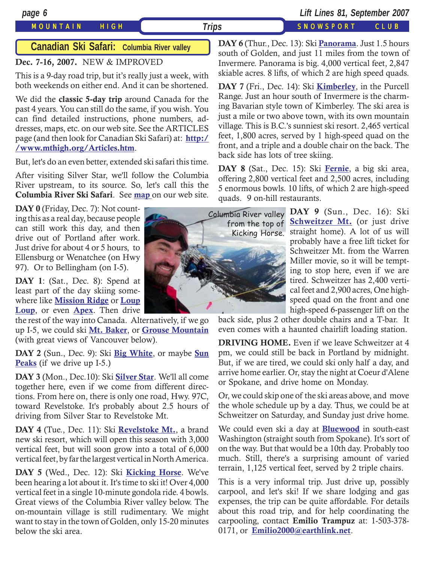#### MOUNTAIN HIGH *Trips* SNOWSPORT CLUB

*page 6 Lift Lines 81, September 2007*

#### **Canadian Ski Safari: Columbia River valley**

#### **Dec. 7-16, 2007.** NEW & IMPROVED

This is a 9-day road trip, but it's really just a week, with both weekends on either end. And it can be shortened.

We did the **classic 5-day trip** around Canada for the past 4 years. You can still do the same, if you wish. You can find detailed instructions, phone numbers, addresses, maps, etc. on our web site. See the ARTICLES page (and then look for Canadian Ski Safari) at: **[http:/](http://www.mthigh.org/Articles.htm) [/www.mthigh.org/Articles.htm](http://www.mthigh.org/Articles.htm)**.

But, let's do an even better, extended ski safari this time.

After visiting Silver Star, we'll follow the Columbia River upstream, to its source. So, let's call this the **Columbia River Ski Safari**. See **[map](http://www.mthigh.org/Trips/Map-NW-Ski-Safaris-w.jpg)** on our web site.

DAY 0 (Friday, Dec. 7): Not counting this as a real day, because people can still work this day, and then drive out of Portland after work. Just drive for about 4 or 5 hours, to Ellensburg or Wenatchee (on Hwy 97). Or to Bellingham (on I-5).

**DAY 1**: (Sat., Dec. 8): Spend at least part of the day skiing somewhere like **[Mission Ridge](http://www.missionridge.com/)** or **[Loup](http://www.skitheloup.com/) [Loup](http://www.skitheloup.com/)**, or even **[Apex](http://www.apexresort.com/)**. Then drive

the rest of the way into Canada. Alternatively, if we go up I-5, we could ski **[Mt. Baker](http://www.mtbaker.us/)**, or **[Grouse Mountain](http://www.grousemountain.com/welcome.cfm)** (with great views of Vancouver below).

**DAY 2** (Sun., Dec. 9): Ski **[Big White](http://www.bigwhite.com/)**, or maybe **[Sun](http://www.sunpeaksresort.com/) [Peaks](http://www.sunpeaksresort.com/)** (if we drive up I-5.)

**DAY 3** (Mon., Dec.10): Ski **[Silver Star](http://www.skisilverstar.com/)**. We'll all come together here, even if we come from different directions. From here on, there is only one road, Hwy. 97C, toward Revelstoke. It's probably about 2.5 hours of driving from Silver Star to Revelstoke Mt.

**DAY 4** (Tue., Dec. 11): Ski **[Revelstoke Mt.](http://www.discoverrevelstoke.com/)**, a brand new ski resort, which will open this season with 3,000 vertical feet, but will soon grow into a total of 6,000 vertical feet, by far the largest vertical in North America.

**DAY 5** (Wed., Dec. 12): Ski **[Kicking Horse](http://www.kickinghorseresort.com/winter/)**. We've been hearing a lot about it. It's time to ski it! Over 4,000 vertical feet in a single 10-minute gondola ride. 4 bowls. Great views of the Columbia River valley below. The on-mountain village is still rudimentary. We might want to stay in the town of Golden, only 15-20 minutes below the ski area.



**DAY 6** (Thur., Dec. 13): Ski **[Panorama](http://www.panoramaresort.com/index.htm)**. Just 1.5 hours south of Golden, and just 11 miles from the town of Invermere. Panorama is big. 4,000 vertical feet, 2,847 skiable acres. 8 lifts, of which 2 are high speed quads.

**DAY 7** (Fri., Dec. 14): Ski **[Kimberley](http://www.skikimberley.com/)**, in the Purcell Range. Just an hour south of Invermere is the charming Bavarian style town of Kimberley. The ski area is just a mile or two above town, with its own mountain village. This is B.C.'s sunniest ski resort. 2,465 vertical feet, 1,800 acres, served by 1 high-speed quad on the front, and a triple and a double chair on the back. The back side has lots of tree skiing.

**DAY 8** (Sat., Dec. 15): Ski **[Fernie](http://www.skifernie.com/the-mountain.aspx)**, a big ski area, offering 2,800 vertical feet and 2,500 acres, including 5 enormous bowls. 10 lifts, of which 2 are high-speed quads. 9 on-hill restaurants.

> **[Schweitzer Mt.](http://www.schweitzer.com/)** (or just drive **BEHWEILET MI.** (OF JUST LITVE<br>straight home). A lot of us will **DAY 9** (Sun., Dec. 16): Ski probably have a free lift ticket for Schweitzer Mt. from the Warren Miller movie, so it will be tempting to stop here, even if we are tired. Schweitzer has 2,400 vertical feet and 2,900 acres, One highspeed quad on the front and one high-speed 6-passenger lift on the

back side, plus 2 other double chairs and a T-bar. It even comes with a haunted chairlift loading station.

**DRIVING HOME.** Even if we leave Schweitzer at 4 pm, we could still be back in Portland by midnight. But, if we are tired, we could ski only half a day, and arrive home earlier. Or, stay the night at Coeur d'Alene or Spokane, and drive home on Monday.

Or, we could skip one of the ski areas above, and move the whole schedule up by a day. Thus, we could be at Schweitzer on Saturday, and Sunday just drive home.

We could even ski a day at **[Bluewood](http://www.bluewood.com/)** in south-east Washington (straight south from Spokane). It's sort of on the way. But that would be a 10th day. Probably too much. Still, there's a surprising amount of varied terrain, 1,125 vertical feet, served by 2 triple chairs.

This is a very informal trip. Just drive up, possibly carpool, and let's ski! If we share lodging and gas expenses, the trip can be quite affordable. For details about this road trip, and for help coordinating the carpooling, contact **Emilio Trampuz** at: 1-503-378- 0171, or **[Emilio2000@earthlink.net](mailto:Emilio2000@earthlink.net)**.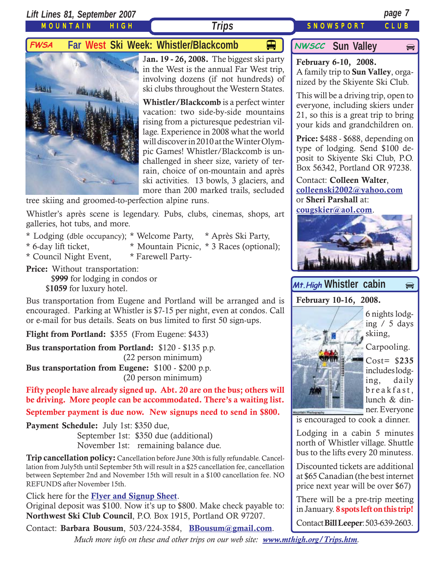*Lift Lines 81, September 2007 page 7*

MOUNTAIN HIGH

 $\bigoplus$ 

## **Trips** SNOWSPORT CLUB

## **FWSA** Far West Ski Week: Whistler/Blackcomb  $\Box$  MWSCC Sun Valley



J**an. 19 - 26, 2008.** The biggest ski party in the West is the annual Far West trip, involving dozens (if not hundreds) of ski clubs throughout the Western States.

**Whistler/Blackcomb** is a perfect winter vacation: two side-by-side mountains rising from a picturesque pedestrian village. Experience in 2008 what the world will discover in 2010 at the Winter Olympic Games! Whistler/Blackcomb is unchallenged in sheer size, variety of terrain, choice of on-mountain and après ski activities. 13 bowls, 3 glaciers, and more than 200 marked trails, secluded

tree skiing and groomed-to-perfection alpine runs.

Whistler's après scene is legendary. Pubs, clubs, cinemas, shops, art galleries, hot tubs, and more.

- \* Lodging (dble occupancy); \* Welcome Party, \* Après Ski Party,
- 
- \* 6-day lift ticket, \* Mountain Picnic, \* 3 Races (optional);
- \* Council Night Event, \* Farewell Party-

**Price:** Without transportation: \$**999** for lodging in condos or \$**1059** for luxury hotel.

Bus transportation from Eugene and Portland will be arranged and is encouraged. Parking at Whistler is \$7-15 per night, even at condos. Call or e-mail for bus details. Seats on bus limited to first 50 sign-ups.

**Flight from Portland:** \$355 (From Eugene: \$433)

**Bus transportation from Portland:** \$120 - \$135 p.p. (22 person minimum)

**Bus transportation from Eugene:** \$100 - \$200 p.p. (20 person minimum)

**Fifty people have already signed up. Abt. 20 are on the bus; others will be driving. More people can be accommodated. There's a waiting list.**

**September payment is due now. New signups need to send in \$800.**

**Payment Schedule:** July 1st: \$350 due,

September 1st: \$350 due (additional) November 1st: remaining balance due.

**Trip cancellation policy:** Cancellation before June 30th is fully refundable. Cancellation from July5th until September 5th will result in a \$25 cancellation fee, cancellation between September 2nd and November 15th will result in a \$100 cancellation fee. NO REFUNDS after November 15th.

Click here for the **[Flyer and Signup Sheet](http://www.mthigh.org/Trips/2008-FWSA-Whistler-flier.pdf)**.

Original deposit was \$100. Now it's up to \$800. Make check payable to: **Northwest Ski Club Council**, P.O. Box 1915, Portland OR 97207.

Contact: **Barbara Bousum**, 503/224-3584, **[BBousum@gmail.com](mailto:BBousum@gmail.com)**.

*Much more info on these and other trips on our web site: [www.mthigh.org/Trips.htm](http://www.mthigh.org/Trips.htm).*

### **NWSCC** Sun Valley

**February 6-10, 2008.** A family trip to **Sun Valley**, organized by the Skiyente Ski Club.

This will be a driving trip, open to everyone, including skiers under 21, so this is a great trip to bring your kids and grandchildren on.

**Price:** \$488 - \$688, depending on type of lodging. Send \$100 deposit to Skiyente Ski Club, P.O. Box 56342, Portland OR 97238.

Contact: **Colleen Walter**, **[colleenski2002@yahoo.com](mailto:colleenski2002@yahoo.com)** or **Sheri Parshall** at:

**[cougskier@aol.com](mailto:cougskier@aol.com)**.



### Mt. High Whistler cabin  $\Rightarrow$

**February 10-16, 2008.**



Carpooling.

Cost= \$**235** includes lodging, daily breakfast, lunch & dinner. Everyone

is encouraged to cook a dinner.

Lodging in a cabin 5 minutes north of Whistler village. Shuttle bus to the lifts every 20 minutess.

Discounted tickets are additional at \$65 Canadian (the best internet price next year will be over \$67)

There will be a pre-trip meeting in January. **8 spots left on this trip!**

Contact **Bill Leeper**: 503-639-2603.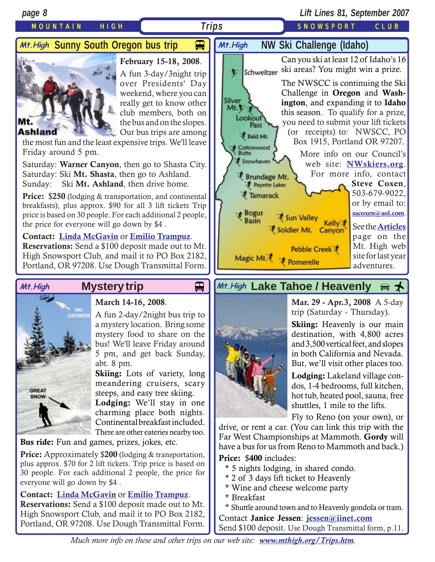*page 8 Lift Lines 81, September 2007* MOUNTAIN HIGH **Trips SNOWSPORT CLUB** *Trips* **H** Mt. High  **NW Ski Challenge (Idaho)** *M+.High `*Sunny South Oregon bus trip Can you ski at least 12 of Idaho's 16 **February 15-18, 2008**. ski areas? You might win a prize. Schweitzer 乞 A fun 3-day/3night trip The NWSCC is continuing the Ski over Presidents' Day weekend, where you can Challenge in **Oregon** and **Wash-**Silver really get to know other **ington**, and expanding it to **Idaho** club members, both on

#### **Ashland**

Mt.

the most fun and the least expensive trips. We'll leave Friday around 5 pm.

the bus and on the slopes. Our bus trips are among

Saturday: **Warner Canyon**, then go to Shasta City. Saturday: Ski **Mt. Shasta**, then go to Ashland. Sunday: Ski **Mt. Ashland**, then drive home.

**Price:** \$**250** (lodging & transportation, and continental breakfasts), plus approx. \$90 for all 3 lift tickets Trip price is based on 30 people. For each additional 2 people, the price for everyone will go down by \$4 .

**Contact: [Linda McGavin](mailto:Trips@mthigh.org)** or **[Emilio Trampuz](mailto:Emilio2000@earthlink.net)**. **Reservations:** Send a \$100 deposit made out to Mt. High Snowsport Club, and mail it to PO Box 2182, Portland, OR 97208. Use Dough Transmittal Form.



### **March 14-16, 2008**.

A fun 2-day/2night bus trip to a mystery location. Bring some mystery food to share on the bus! We'll leave Friday around 5 pm, and get back Sunday, abt. 8 pm.

**Skiing:** Lots of variety, long meandering cruisers, scary steeps, and easy tree skiing.

**Lodging:** We'll stay in one charming place both nights. Continental breakfast included. There are other eateries nearby too.

**Bus ride:** Fun and games, prizes, jokes, etc.

**Price:** Approximately \$**200** (lodging & transportation, plus approx. \$70 for 2 lift tickets. Trip price is based on 30 people. For each additional 2 people, the price for everyone will go down by \$4 .

#### **Contact: [Linda McGavin](mailto:Trips@mthigh.org)** or **[Emilio Trampuz](mailto:Emilio2000@earthlink.net)**.

**Reservations:** Send a \$100 deposit made out to Mt. High Snowsport Club, and mail it to PO Box 2182, Portland, OR 97208. Use Dough Transmittal Form.



## Mt.High Mystery trip **Details Altrigh Lake Tahoe / Heavenly** a <del>↓</del>



**Mar. 29 - Apr.3, 2008** A 5-day trip (Saturday - Thursday).

**Skiing:** Heavenly is our main destination, with 4,800 acres and 3,500 vertical feet, and slopes in both California and Nevada. But, we'll visit other places too.

**Lodging:** Lakeland village condos, 1-4 bedrooms, full kitchen, hot tub, heated pool, sauna, free shuttles, 1 mile to the lifts.

Fly to Reno (on your own), or

drive, or rent a car. (You can link this trip with the Far West Championships at Mammoth. **Gordy** will have a bus for us from Reno to Mammoth and back.)

**Price:** \$**400** includes:

- \* 5 nights lodging, in shared condo.
- \* 2 of 3 days lift ticket to Heavenly
- \* Wine and cheese welcome party
- \* Breakfast

\* Shuttle around town and to Heavenly gondola or tram. Contact **Janice Jessen**: **[jessen@iinet.com](mailto:jessen@iinet.com)** Send \$100 deposit. Use Dough Transmittal form, p.11.

*Much more info on these and other trips on our web site: [www.mthigh.org/Trips.htm](http://www.mthigh.org/Trips.htm).*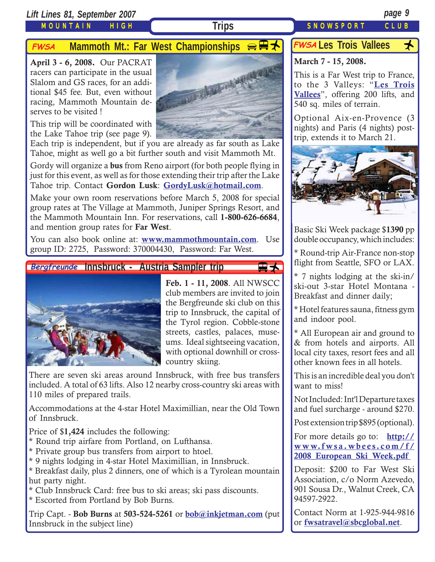*Lift Lines 81, September 2007 page 9*

#### MOUNTAIN HIGH

## **FWSA** Mammoth Mt.: Far West Championships  $\bigoplus$  **H**

**April 3 - 6, 2008.** Our PACRAT racers can participate in the usual Slalom and GS races, for an additional \$45 fee. But, even without racing, Mammoth Mountain deserves to be visited !

This trip will be coordinated with the Lake Tahoe trip (see page 9).



Each trip is independent, but if you are already as far south as Lake Tahoe, might as well go a bit further south and visit Mammoth Mt.

Gordy will organize a **bus** from Reno airport (for both people flying in just for this event, as well as for those extending their trip after the Lake Tahoe trip. Contact **Gordon Lusk**: **[GordyLusk@hotmail.com](mailto:gordylusk@hotmail.com)**.

Make your own room reservations before March 5, 2008 for special group rates at The Village at Mammoth, Juniper Springs Resort, and the Mammoth Mountain Inn. For reservations, call **1-800-626-6684**, and mention group rates for **Far West**.

You can also book online at: **[www.mammothmountain.com](http://www.mammothmountain.com/)**. Use group ID: 2725, Password: 370004430, Password: Far West.

#### **Innsbruck - Austria Sampler trip Bergfreunde**



**Feb. 1 - 11, 2008**. All NWSCC club members are invited to join the Bergfreunde ski club on this trip to Innsbruck, the capital of the Tyrol region. Cobble-stone streets, castles, palaces, museums. Ideal sightseeing vacation, with optional downhill or crosscountry skiing.

₩

There are seven ski areas around Innsbruck, with free bus transfers included. A total of 63 lifts. Also 12 nearby cross-country ski areas with 110 miles of prepared trails.

Accommodations at the 4-star Hotel Maximillian, near the Old Town of Innsbruck.

Price of \$**1,424** includes the following:

- \* Round trip airfare from Portland, on Lufthansa.
- \* Private group bus transfers from airport to htoel.
- \* 9 nights lodging in 4-star Hotel Maximillian, in Innsbruck.

\* Breakfast daily, plus 2 dinners, one of which is a Tyrolean mountain hut party night.

\* Club Innsbruck Card: free bus to ski areas; ski pass discounts.

\* Escorted from Portland by Bob Burns.

Trip Capt. - **Bob Burns** at **503-524-5261** or **[bob@inkjetman.com](mailto:bob@inkjetman.com)** (put Innsbruck in the subject line)

## FWSA Les Trois Vallees <del>人</del>

#### **March 7 - 15, 2008.**

This is a Far West trip to France, to the 3 Valleys: "**[Les Trois](http://www.mthigh.org/Trips.htm#Les_Trois_Vallees) [Vallees](http://www.mthigh.org/Trips.htm#Les_Trois_Vallees)**", offering 200 lifts, and 540 sq. miles of terrain.

Optional Aix-en-Provence (3 nights) and Paris (4 nights) posttrip, extends it to March 21.



Basic Ski Week package \$**1390** pp double occupancy, which includes:

\* Round-trip Air-France non-stop flight from Seattle, SFO or LAX.

\* 7 nights lodging at the ski-in/ ski-out 3-star Hotel Montana - Breakfast and dinner daily;

\* Hotel features sauna, fitness gym and indoor pool.

\* All European air and ground to & from hotels and airports. All local city taxes, resort fees and all other known fees in all hotels.

This is an incredible deal you don't want to miss!

Not Included: Int'l Departure taxes and fuel surcharge - around \$270.

Post extension trip \$895 (optional).

For more details go to: **[http://](http://www.fwsa.wbees.com/f/2008_European_Ski_Week.pdf ) [www.fwsa.wbees.com/f/](http://www.fwsa.wbees.com/f/2008_European_Ski_Week.pdf ) [2008\\_European\\_Ski\\_Week.pdf](http://www.fwsa.wbees.com/f/2008_European_Ski_Week.pdf )**

Deposit: \$200 to Far West Ski Association, c/o Norm Azevedo, 901 Sousa Dr., Walnut Creek, CA 94597-2922.

Contact Norm at 1-925-944-9816 or **[fwsatravel@sbcglobal.net](mailto:fwsatravel@sbcglobal.net)**.

### **Trips** SNOWSPORT CLUB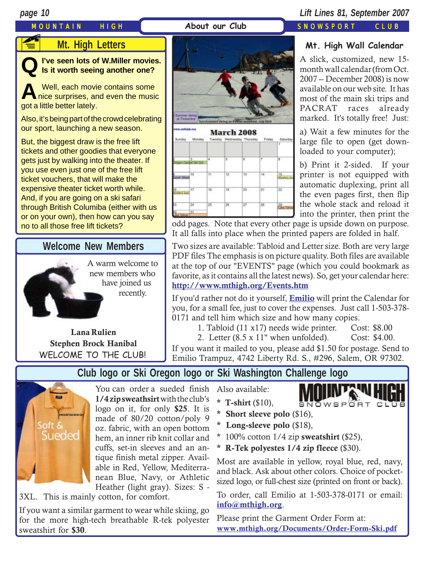# MOUNTAIN HIGH **About our Club** SNOWSPORT CLUB **FE**

#### *page 10 Lift Lines 81, September 2007*

### **Mt. High Letters**

**QI've seen lots of W.Miller movies. Is it worth seeing another one?**

Well, each movie contains some nice surprises, and even the music got a little better lately.

Also, it's being part of the crowd celebrating our sport, launching a new season.

But, the biggest draw is the free lift tickets and other goodies that everyone gets just by walking into the theater. If you use even just one of the free lift ticket vouchers, that will make the expensive theater ticket worth while. And, if you are going on a ski safari through British Columiba (either with us or on your own), then how can you say no to all those free lift tickets?

### **Welcome New Members**

A warm welcome to new members who have joined us recently.

**Lana Rulien Stephen Brock Hanibal** WELCOME TO THE CLUB!



|                   |                                  |      |                 |              |               | Ŧ                        |
|-------------------|----------------------------------|------|-----------------|--------------|---------------|--------------------------|
|                   | з<br><b>Hogon Canger Set Dut</b> | 4    | B               | W.           | т             | ч.                       |
|                   | 10                               | W.   | 12 <sup>°</sup> | 13.1         | $\frac{1}{2}$ | 15<br>Maaters by<br>en o |
| 16<br>Mustery bus | 17                               | 18   | 19              | 20.5         | i21           | 22                       |
| 23                | $\sim$<br>24                     | 25.7 | 26              | $27^{\circ}$ | 28            | a V<br>30                |
| 30                | 31                               |      |                 |              |               |                          |

#### **Mt. High Wall Calendar**

A slick, customized, new 15 month wall calendar (from Oct. 2007 -- December 2008) is now available on our web site. It has most of the main ski trips and PACRAT races already marked. It's totally free! Just:

a) Wait a few minutes for the large file to open (get downloaded to your computer);

b) Print it 2-sided. If your printer is not equipped with automatic duplexing, print all the even pages first, then flip the whole stack and reload it into the printer, then print the

odd pages. Note that every other page is upside down on purpose. It all falls into place when the printed papers are folded in half.

Two sizes are available: Tabloid and Letter size. Both are very large PDF files The emphasis is on picture quality. Both files are available at the top of our "EVENTS" page (which you could bookmark as favorite, as it contains all the latest news). So, get your calendar here: **<http://www.mthigh.org/Events.htm>**

If you'd rather not do it yourself, **[Emilio](mailto:Emilio2000@earthlink.net)** will print the Calendar for you, for a small fee, just to cover the expenses. Just call 1-503-378- 0171 and tell him which size and how many copies.

1. Tabloid (11 x17) needs wide printer. Cost: \$8.00

2. Letter (8.5 x 11" when unfolded). Cost: \$4.00.

If you want it mailed to you, please add \$1.50 for postage. Send to Emilio Trampuz, 4742 Liberty Rd. S., #296, Salem, OR 97302.

## **Club logo or Ski Oregon logo or Ski Washington Challenge logo**



You can order a sueded finish **1/4 zip sweathsirt** with the club's logo on it, for only **\$25**. It is made of 80/20 cotton/poly 9 oz. fabric, with an open bottom hem, an inner rib knit collar and cuffs, set-in sleeves and an antique finish metal zipper. Available in Red, Yellow, Mediterranean Blue, Navy, or Athletic Heather (light gray). Sizes: S -

3XL. This is mainly cotton, for comfort.

If you want a similar garment to wear while skiing, go for the more high-tech breathable R-tek polyester sweatshirt for **\$30**.

Also available:

**\* T-shirt** (\$10),



- **\* Short sleeve polo** (\$16),
- **\* Long-sleeve polo** (\$18),
- \* 100% cotton 1/4 zip **sweatshirt** (\$25),
- **\* R-Tek polyestes 1/4 zip fleece** (\$30).

Most are available in yellow, royal blue, red, navy, and black. Ask about other colors. Choice of pocketsized logo, or full-chest size (printed on front or back).

To order, call Emilio at 1-503-378-0171 or email: **i[nfo@mthigh.org](mailto:info@mthigh.org)**.

Please print the Garment Order Form at: **[www.mthigh.org/Documents/Order-Form-Ski.pdf](http://www.mthigh.org/Documents/Order-Form-Ski.pdf)**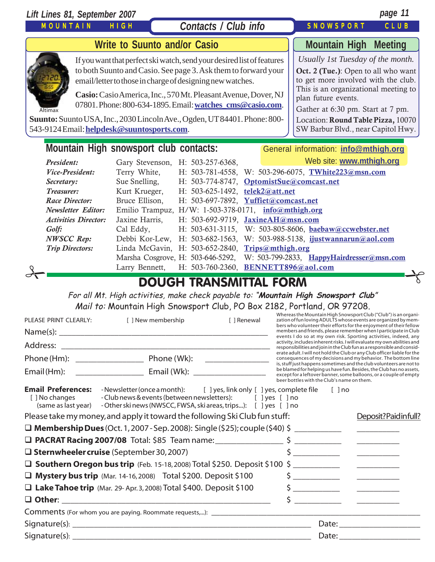| Lift Lines 81, September 2007                                                                                                      |                                 |                                                                                                                                                                                                                                                                                                                                      |  |                                                                                                                                                                                                                                                                                                 | page 11 |  |
|------------------------------------------------------------------------------------------------------------------------------------|---------------------------------|--------------------------------------------------------------------------------------------------------------------------------------------------------------------------------------------------------------------------------------------------------------------------------------------------------------------------------------|--|-------------------------------------------------------------------------------------------------------------------------------------------------------------------------------------------------------------------------------------------------------------------------------------------------|---------|--|
| MOUNTAIN                                                                                                                           | <b>HIGH</b>                     | Contacts / Club info                                                                                                                                                                                                                                                                                                                 |  | <b>SNOWSPORT</b>                                                                                                                                                                                                                                                                                | CLUB    |  |
| <b>Write to Suunto and/or Casio</b>                                                                                                | <b>Mountain High Meeting</b>    |                                                                                                                                                                                                                                                                                                                                      |  |                                                                                                                                                                                                                                                                                                 |         |  |
| Altimax<br>Suunto: Suunto USA, Inc., 2030 Lincoln Ave., Ogden, UT 84401. Phone: 800-<br>543-9124 Email: helpdesk@suuntosports.com. |                                 | If you want that perfect ski watch, send your desired list of features<br>to both Suunto and Casio. See page 3. Ask them to forward your<br>email/letter to those in charge of designing new watches.<br>Casio: Casio America, Inc., 570 Mt. Pleasant Avenue, Dover, NJ<br>07801. Phone: 800-634-1895. Email: watches cms@casio.com. |  | Usually 1st Tuesday of the month.<br>Oct. 2 (Tue.): Open to all who want<br>to get more involved with the club.<br>This is an organizational meeting to<br>plan future events.<br>Gather at 6:30 pm. Start at 7 pm.<br>Location: Round Table Pizza, 10070<br>SW Barbur Blvd., near Capitol Hwy. |         |  |
| Mountain High snowsport club contacts:<br>General information: info@mthigh.org                                                     |                                 |                                                                                                                                                                                                                                                                                                                                      |  |                                                                                                                                                                                                                                                                                                 |         |  |
| President:                                                                                                                         | Gary Stevenson,                 | H: 503-257-6368,                                                                                                                                                                                                                                                                                                                     |  | Web site: www.mthigh.org                                                                                                                                                                                                                                                                        |         |  |
| Vice-President:                                                                                                                    | Terry White,                    | $H: 503-781-4558,$                                                                                                                                                                                                                                                                                                                   |  | W: 503-296-6075, TWhite223@msn.com                                                                                                                                                                                                                                                              |         |  |
| Secretary:                                                                                                                         | Sue Snelling,                   | H: 503-774-8747, OptomistSue@comcast.net                                                                                                                                                                                                                                                                                             |  |                                                                                                                                                                                                                                                                                                 |         |  |
| Treasurer:<br><b>Race Director:</b>                                                                                                | Kurt Krueger,<br>Bruce Ellison, | H: 503-625-1492, telek2@att.net<br>H: 503-697-7892, Yuffiet@comcast.net                                                                                                                                                                                                                                                              |  |                                                                                                                                                                                                                                                                                                 |         |  |
| <b>Newsletter Editor:</b>                                                                                                          |                                 | Emilio Trampuz, H/W: 1-503-378-0171, info@mthigh.org                                                                                                                                                                                                                                                                                 |  |                                                                                                                                                                                                                                                                                                 |         |  |
| <b>Activities Director:</b>                                                                                                        | Jaxine Harris,                  | H: 503-692-9719, JaxineAH@msn.com                                                                                                                                                                                                                                                                                                    |  |                                                                                                                                                                                                                                                                                                 |         |  |
| Golf:                                                                                                                              | Cal Eddy,                       |                                                                                                                                                                                                                                                                                                                                      |  | H: 503-631-3115, W: 503-805-8606, baebaw@ccwebster.net                                                                                                                                                                                                                                          |         |  |
| <b>NWSCC Rep:</b>                                                                                                                  | Debbi Kor-Lew,                  | $H: 503-682-1563$                                                                                                                                                                                                                                                                                                                    |  | W: 503-988-5138, ijustwannarun@aol.com                                                                                                                                                                                                                                                          |         |  |
| <b>Trip Directors:</b>                                                                                                             | Linda McGavin,                  | H: 503-652-2840, Trips@mthigh.org                                                                                                                                                                                                                                                                                                    |  |                                                                                                                                                                                                                                                                                                 |         |  |
|                                                                                                                                    |                                 | Marsha Cosgrove, H: 503-646-5292,                                                                                                                                                                                                                                                                                                    |  | W: 503-799-2833, HappyHairdresser@msn.com                                                                                                                                                                                                                                                       |         |  |
|                                                                                                                                    | Larry Bennett,                  | H: 503-760-2360, BENNETT896@aol.com                                                                                                                                                                                                                                                                                                  |  |                                                                                                                                                                                                                                                                                                 |         |  |
| <b>DOUGH TRANSMITTAL FORM</b>                                                                                                      |                                 |                                                                                                                                                                                                                                                                                                                                      |  |                                                                                                                                                                                                                                                                                                 |         |  |

For all Mt. High activities, make check payable to: "**Mountain High Snowsport Club**" Mail to: Mountain High Snowsport Club, PO Box 2182, Portland, OR 97208.

| PLEASE PRINT CLEARLY:                       | [ ] New membership                                                                                                                                                                                                                 | [ ] Renewal | Whereas the Mountain High Snowsport Club ("Club") is an organi-<br>zation of fun loving ADULTS whose events are organized by mem-<br>bers who volunteer their efforts for the enjoyment of their fellow |                                                                                                                                                                                                                                                                                                                     |  |
|---------------------------------------------|------------------------------------------------------------------------------------------------------------------------------------------------------------------------------------------------------------------------------------|-------------|---------------------------------------------------------------------------------------------------------------------------------------------------------------------------------------------------------|---------------------------------------------------------------------------------------------------------------------------------------------------------------------------------------------------------------------------------------------------------------------------------------------------------------------|--|
|                                             |                                                                                                                                                                                                                                    |             |                                                                                                                                                                                                         | members and friends, please remember when I participate in Club<br>events I do so at my own risk. Sporting activities, indeed, any                                                                                                                                                                                  |  |
|                                             |                                                                                                                                                                                                                                    |             |                                                                                                                                                                                                         | activity, includes inherent risks. I will evaluate my own abilities and<br>responsibilities and join in the Club fun as a responsible and consid-                                                                                                                                                                   |  |
|                                             |                                                                                                                                                                                                                                    |             |                                                                                                                                                                                                         | erate adult. I will not hold the Club or any Club officer liable for the<br>consequences of my decisions and my behavior. The bottom line<br>is, stuff just happens sometimes and the club volunteers are not to                                                                                                    |  |
|                                             |                                                                                                                                                                                                                                    |             | beer bottles with the Club's name on them.                                                                                                                                                              | be blamed for helping us have fun. Besides, the Club has no assets,<br>except for a leftover banner, some balloons, or a couple of empty                                                                                                                                                                            |  |
| <b>Email Preferences:</b><br>[ ] No changes | -Newsletter (once a month): [ ] yes, link only [ ] yes, complete file [ ] no<br>- Club news & events (between newsletters): [ ] yes [ ] no<br>(same as last year) - Other ski news (NWSCC, FWSA, ski areas, trips): [ ] yes [ ] no |             |                                                                                                                                                                                                         |                                                                                                                                                                                                                                                                                                                     |  |
|                                             | Please take my money, and apply it toward the following Ski Club fun stuff:                                                                                                                                                        |             |                                                                                                                                                                                                         | Deposit?Paidinfull?                                                                                                                                                                                                                                                                                                 |  |
|                                             |                                                                                                                                                                                                                                    |             |                                                                                                                                                                                                         |                                                                                                                                                                                                                                                                                                                     |  |
|                                             |                                                                                                                                                                                                                                    |             |                                                                                                                                                                                                         |                                                                                                                                                                                                                                                                                                                     |  |
|                                             | $\square$ Sternwheeler cruise (September 30, 2007)                                                                                                                                                                                 |             |                                                                                                                                                                                                         |                                                                                                                                                                                                                                                                                                                     |  |
|                                             | □ Southern Oregon bus trip (Feb. 15-18, 2008) Total \$250. Deposit \$100 \$                                                                                                                                                        |             |                                                                                                                                                                                                         |                                                                                                                                                                                                                                                                                                                     |  |
|                                             | $\Box$ Mystery bus trip (Mar. 14-16, 2008) Total \$200. Deposit \$100                                                                                                                                                              |             |                                                                                                                                                                                                         | $\frac{1}{2}$ $\frac{1}{2}$ $\frac{1}{2}$ $\frac{1}{2}$ $\frac{1}{2}$ $\frac{1}{2}$ $\frac{1}{2}$ $\frac{1}{2}$ $\frac{1}{2}$ $\frac{1}{2}$ $\frac{1}{2}$ $\frac{1}{2}$ $\frac{1}{2}$ $\frac{1}{2}$ $\frac{1}{2}$ $\frac{1}{2}$ $\frac{1}{2}$ $\frac{1}{2}$ $\frac{1}{2}$ $\frac{1}{2}$ $\frac{1}{2}$ $\frac{1}{2}$ |  |
|                                             | $\Box$ Lake Tahoe trip (Mar. 29- Apr. 3, 2008) Total \$400. Deposit \$100                                                                                                                                                          |             |                                                                                                                                                                                                         |                                                                                                                                                                                                                                                                                                                     |  |
|                                             |                                                                                                                                                                                                                                    |             |                                                                                                                                                                                                         | $\frac{1}{2}$ $\frac{1}{2}$ $\frac{1}{2}$ $\frac{1}{2}$ $\frac{1}{2}$ $\frac{1}{2}$ $\frac{1}{2}$ $\frac{1}{2}$ $\frac{1}{2}$ $\frac{1}{2}$ $\frac{1}{2}$ $\frac{1}{2}$ $\frac{1}{2}$ $\frac{1}{2}$ $\frac{1}{2}$ $\frac{1}{2}$ $\frac{1}{2}$ $\frac{1}{2}$ $\frac{1}{2}$ $\frac{1}{2}$ $\frac{1}{2}$ $\frac{1}{2}$ |  |
|                                             |                                                                                                                                                                                                                                    |             |                                                                                                                                                                                                         |                                                                                                                                                                                                                                                                                                                     |  |
|                                             |                                                                                                                                                                                                                                    |             |                                                                                                                                                                                                         |                                                                                                                                                                                                                                                                                                                     |  |
|                                             |                                                                                                                                                                                                                                    |             |                                                                                                                                                                                                         |                                                                                                                                                                                                                                                                                                                     |  |